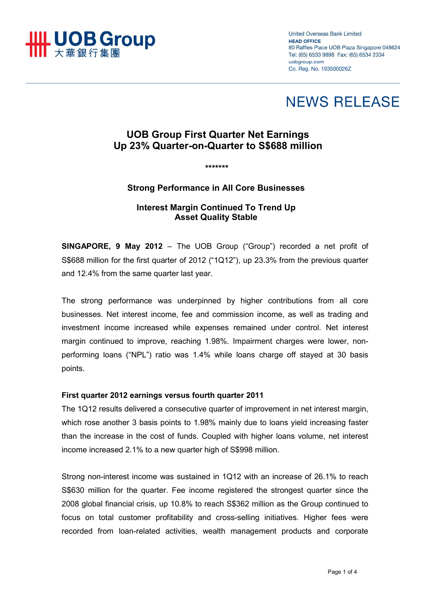

**United Overseas Bank Limited HEAD OFFICE** 80 Raffles Place UOB Plaza Singapore 048624 Tel: (65) 6533 9898 Fax: (65) 6534 2334 uobgroup.com Co. Reg. No. 193500026Z

# **NEWS RELEASE**

## **UOB Group First Quarter Net Earnings Up 23% Quarter-on-Quarter to S\$688 million**

*\*\*\*\*\*\*\** 

#### **Strong Performance in All Core Businesses**

### **Interest Margin Continued To Trend Up Asset Quality Stable**

**SINGAPORE, 9 May 2012** – The UOB Group ("Group") recorded a net profit of S\$688 million for the first quarter of 2012 ("1Q12"), up 23.3% from the previous quarter and 12.4% from the same quarter last year.

The strong performance was underpinned by higher contributions from all core businesses. Net interest income, fee and commission income, as well as trading and investment income increased while expenses remained under control. Net interest margin continued to improve, reaching 1.98%. Impairment charges were lower, nonperforming loans ("NPL") ratio was 1.4% while loans charge off stayed at 30 basis points.

#### **First quarter 2012 earnings versus fourth quarter 2011**

The 1Q12 results delivered a consecutive quarter of improvement in net interest margin, which rose another 3 basis points to 1.98% mainly due to loans yield increasing faster than the increase in the cost of funds. Coupled with higher loans volume, net interest income increased 2.1% to a new quarter high of S\$998 million.

Strong non-interest income was sustained in 1Q12 with an increase of 26.1% to reach S\$630 million for the quarter. Fee income registered the strongest quarter since the 2008 global financial crisis, up 10.8% to reach S\$362 million as the Group continued to focus on total customer profitability and cross-selling initiatives. Higher fees were recorded from loan-related activities, wealth management products and corporate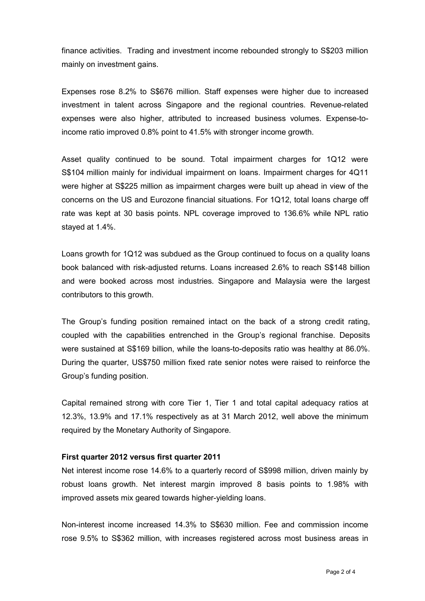finance activities. Trading and investment income rebounded strongly to S\$203 million mainly on investment gains.

Expenses rose 8.2% to S\$676 million. Staff expenses were higher due to increased investment in talent across Singapore and the regional countries. Revenue-related expenses were also higher, attributed to increased business volumes. Expense-toincome ratio improved 0.8% point to 41.5% with stronger income growth.

Asset quality continued to be sound. Total impairment charges for 1Q12 were S\$104 million mainly for individual impairment on loans. Impairment charges for 4Q11 were higher at S\$225 million as impairment charges were built up ahead in view of the concerns on the US and Eurozone financial situations. For 1Q12, total loans charge off rate was kept at 30 basis points. NPL coverage improved to 136.6% while NPL ratio stayed at 1.4%.

Loans growth for 1Q12 was subdued as the Group continued to focus on a quality loans book balanced with risk-adjusted returns. Loans increased 2.6% to reach S\$148 billion and were booked across most industries. Singapore and Malaysia were the largest contributors to this growth.

The Group's funding position remained intact on the back of a strong credit rating, coupled with the capabilities entrenched in the Group's regional franchise. Deposits were sustained at S\$169 billion, while the loans-to-deposits ratio was healthy at 86.0%. During the quarter, US\$750 million fixed rate senior notes were raised to reinforce the Group's funding position.

Capital remained strong with core Tier 1, Tier 1 and total capital adequacy ratios at 12.3%, 13.9% and 17.1% respectively as at 31 March 2012, well above the minimum required by the Monetary Authority of Singapore.

#### **First quarter 2012 versus first quarter 2011**

Net interest income rose 14.6% to a quarterly record of S\$998 million, driven mainly by robust loans growth. Net interest margin improved 8 basis points to 1.98% with improved assets mix geared towards higher-yielding loans.

Non-interest income increased 14.3% to S\$630 million. Fee and commission income rose 9.5% to S\$362 million, with increases registered across most business areas in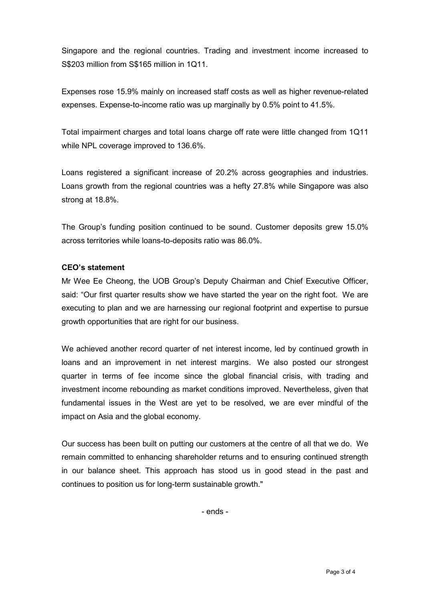Singapore and the regional countries. Trading and investment income increased to S\$203 million from S\$165 million in 1Q11.

Expenses rose 15.9% mainly on increased staff costs as well as higher revenue-related expenses. Expense-to-income ratio was up marginally by 0.5% point to 41.5%.

Total impairment charges and total loans charge off rate were little changed from 1Q11 while NPL coverage improved to 136.6%.

Loans registered a significant increase of 20.2% across geographies and industries. Loans growth from the regional countries was a hefty 27.8% while Singapore was also strong at 18.8%.

The Group's funding position continued to be sound. Customer deposits grew 15.0% across territories while loans-to-deposits ratio was 86.0%.

#### **CEO's statement**

Mr Wee Ee Cheong, the UOB Group's Deputy Chairman and Chief Executive Officer, said: "Our first quarter results show we have started the year on the right foot. We are executing to plan and we are harnessing our regional footprint and expertise to pursue growth opportunities that are right for our business.

We achieved another record quarter of net interest income, led by continued growth in loans and an improvement in net interest margins. We also posted our strongest quarter in terms of fee income since the global financial crisis, with trading and investment income rebounding as market conditions improved. Nevertheless, given that fundamental issues in the West are yet to be resolved, we are ever mindful of the impact on Asia and the global economy.

Our success has been built on putting our customers at the centre of all that we do. We remain committed to enhancing shareholder returns and to ensuring continued strength in our balance sheet. This approach has stood us in good stead in the past and continues to position us for long-term sustainable growth."

- ends -